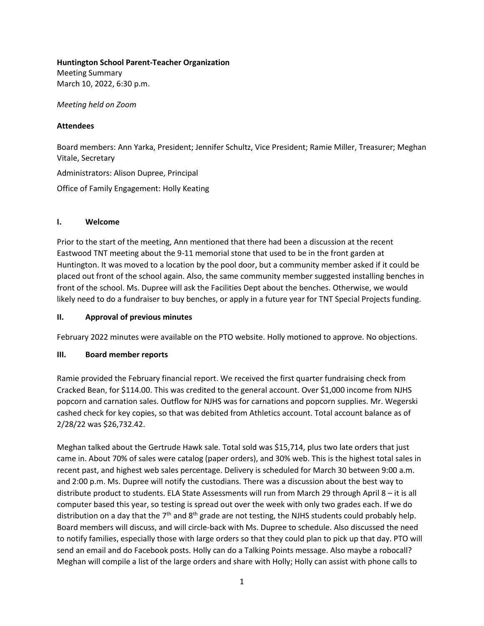### **Huntington School Parent-Teacher Organization**

Meeting Summary March 10, 2022, 6:30 p.m.

*Meeting held on Zoom* 

## **Attendees**

Board members: Ann Yarka, President; Jennifer Schultz, Vice President; Ramie Miller, Treasurer; Meghan Vitale, Secretary

Administrators: Alison Dupree, Principal

Office of Family Engagement: Holly Keating

# **I. Welcome**

Prior to the start of the meeting, Ann mentioned that there had been a discussion at the recent Eastwood TNT meeting about the 9-11 memorial stone that used to be in the front garden at Huntington. It was moved to a location by the pool door, but a community member asked if it could be placed out front of the school again. Also, the same community member suggested installing benches in front of the school. Ms. Dupree will ask the Facilities Dept about the benches. Otherwise, we would likely need to do a fundraiser to buy benches, or apply in a future year for TNT Special Projects funding.

# **II. Approval of previous minutes**

February 2022 minutes were available on the PTO website. Holly motioned to approve. No objections.

# **III. Board member reports**

Ramie provided the February financial report. We received the first quarter fundraising check from Cracked Bean, for \$114.00. This was credited to the general account. Over \$1,000 income from NJHS popcorn and carnation sales. Outflow for NJHS was for carnations and popcorn supplies. Mr. Wegerski cashed check for key copies, so that was debited from Athletics account. Total account balance as of 2/28/22 was \$26,732.42.

Meghan talked about the Gertrude Hawk sale. Total sold was \$15,714, plus two late orders that just came in. About 70% of sales were catalog (paper orders), and 30% web. This is the highest total sales in recent past, and highest web sales percentage. Delivery is scheduled for March 30 between 9:00 a.m. and 2:00 p.m. Ms. Dupree will notify the custodians. There was a discussion about the best way to distribute product to students. ELA State Assessments will run from March 29 through April 8 – it is all computer based this year, so testing is spread out over the week with only two grades each. If we do distribution on a day that the  $7<sup>th</sup>$  and  $8<sup>th</sup>$  grade are not testing, the NJHS students could probably help. Board members will discuss, and will circle-back with Ms. Dupree to schedule. Also discussed the need to notify families, especially those with large orders so that they could plan to pick up that day. PTO will send an email and do Facebook posts. Holly can do a Talking Points message. Also maybe a robocall? Meghan will compile a list of the large orders and share with Holly; Holly can assist with phone calls to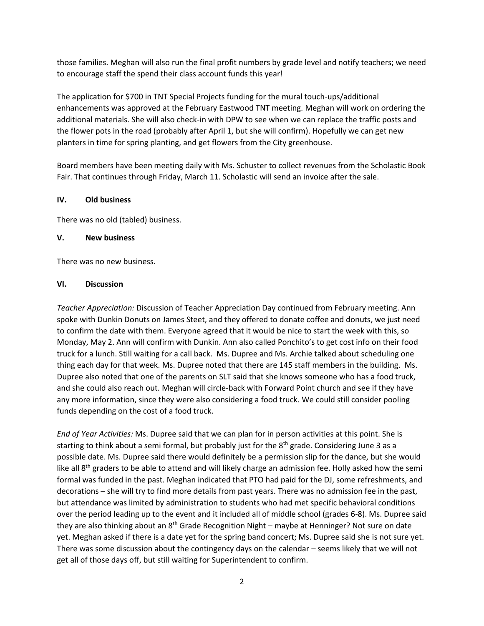those families. Meghan will also run the final profit numbers by grade level and notify teachers; we need to encourage staff the spend their class account funds this year!

The application for \$700 in TNT Special Projects funding for the mural touch-ups/additional enhancements was approved at the February Eastwood TNT meeting. Meghan will work on ordering the additional materials. She will also check-in with DPW to see when we can replace the traffic posts and the flower pots in the road (probably after April 1, but she will confirm). Hopefully we can get new planters in time for spring planting, and get flowers from the City greenhouse.

Board members have been meeting daily with Ms. Schuster to collect revenues from the Scholastic Book Fair. That continues through Friday, March 11. Scholastic will send an invoice after the sale.

## **IV. Old business**

There was no old (tabled) business.

### **V. New business**

There was no new business.

#### **VI. Discussion**

*Teacher Appreciation:* Discussion of Teacher Appreciation Day continued from February meeting. Ann spoke with Dunkin Donuts on James Steet, and they offered to donate coffee and donuts, we just need to confirm the date with them. Everyone agreed that it would be nice to start the week with this, so Monday, May 2. Ann will confirm with Dunkin. Ann also called Ponchito's to get cost info on their food truck for a lunch. Still waiting for a call back. Ms. Dupree and Ms. Archie talked about scheduling one thing each day for that week. Ms. Dupree noted that there are 145 staff members in the building. Ms. Dupree also noted that one of the parents on SLT said that she knows someone who has a food truck, and she could also reach out. Meghan will circle-back with Forward Point church and see if they have any more information, since they were also considering a food truck. We could still consider pooling funds depending on the cost of a food truck.

*End of Year Activities:* Ms. Dupree said that we can plan for in person activities at this point. She is starting to think about a semi formal, but probably just for the 8<sup>th</sup> grade. Considering June 3 as a possible date. Ms. Dupree said there would definitely be a permission slip for the dance, but she would like all  $8<sup>th</sup>$  graders to be able to attend and will likely charge an admission fee. Holly asked how the semi formal was funded in the past. Meghan indicated that PTO had paid for the DJ, some refreshments, and decorations – she will try to find more details from past years. There was no admission fee in the past, but attendance was limited by administration to students who had met specific behavioral conditions over the period leading up to the event and it included all of middle school (grades 6-8). Ms. Dupree said they are also thinking about an  $8<sup>th</sup>$  Grade Recognition Night – maybe at Henninger? Not sure on date yet. Meghan asked if there is a date yet for the spring band concert; Ms. Dupree said she is not sure yet. There was some discussion about the contingency days on the calendar – seems likely that we will not get all of those days off, but still waiting for Superintendent to confirm.